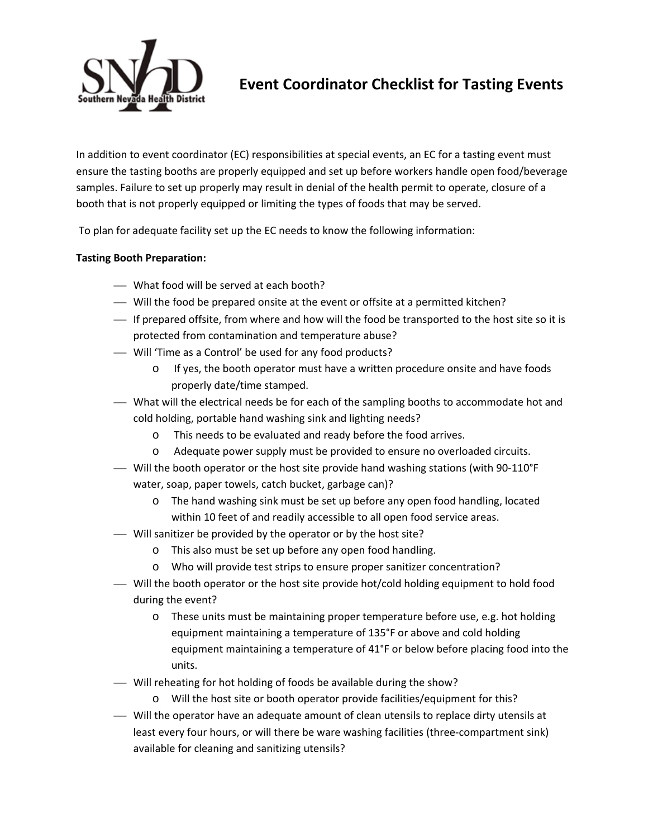

## **Event Coordinator Checklist for Tasting Events**

In addition to event coordinator (EC) responsibilities at special events, an EC for a tasting event must ensure the tasting booths are properly equipped and set up before workers handle open food/beverage samples. Failure to set up properly may result in denial of the health permit to operate, closure of a booth that is not properly equipped or limiting the types of foods that may be served.

To plan for adequate facility set up the EC needs to know the following information:

## **Tasting Booth Preparation:**

- What food will be served at each booth?
- Will the food be prepared onsite at the event or offsite at a permitted kitchen?
- If prepared offsite, from where and how will the food be transported to the host site so it is protected from contamination and temperature abuse?
- Will 'Time as a Control' be used for any food products?
	- o If yes, the booth operator must have a written procedure onsite and have foods properly date/time stamped.
- What will the electrical needs be for each of the sampling booths to accommodate hot and cold holding, portable hand washing sink and lighting needs?
	- o This needs to be evaluated and ready before the food arrives.
	- o Adequate power supply must be provided to ensure no overloaded circuits.
- Will the booth operator or the host site provide hand washing stations (with 90‐110°F water, soap, paper towels, catch bucket, garbage can)?
	- o The hand washing sink must be set up before any open food handling, located within 10 feet of and readily accessible to all open food service areas.
- Will sanitizer be provided by the operator or by the host site?
	- o This also must be set up before any open food handling.
	- o Who will provide test strips to ensure proper sanitizer concentration?
- Will the booth operator or the host site provide hot/cold holding equipment to hold food during the event?
	- o These units must be maintaining proper temperature before use, e.g. hot holding equipment maintaining a temperature of 135°F or above and cold holding equipment maintaining a temperature of 41°F or below before placing food into the units.
- Will reheating for hot holding of foods be available during the show?
	- o Will the host site or booth operator provide facilities/equipment for this?
- Will the operator have an adequate amount of clean utensils to replace dirty utensils at least every four hours, or will there be ware washing facilities (three‐compartment sink) available for cleaning and sanitizing utensils?